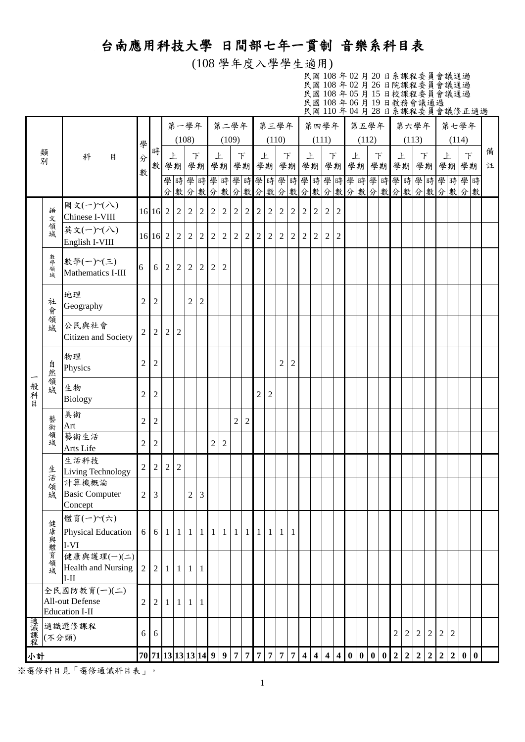## 台南應用科技大學 日間部七年一貫制 音樂系科目表

(108 學年度入學學生適用)

民國 108 年 02 月 20 日系課程委員會議通過 民國 108 年 02 月 26 日院課程委員會議通過 民國 108 年 05 月 15 日校課程委員會議通過 民國 108 年 06 月 19 日教務會議通過 民國 110 年 04 月 28 日系課程委員會議修正通過

|         |                                                                               |                                                |                |                                     |                | 第一學年           |                   |                |                | 第二學年           |                |                |                |                | 第三學年           |                |                |                | 第四學年           |                | 第五學年    |        |    |              | 第六學年           |                |                  |                |                | 第七學年                           |   |
|---------|-------------------------------------------------------------------------------|------------------------------------------------|----------------|-------------------------------------|----------------|----------------|-------------------|----------------|----------------|----------------|----------------|----------------|----------------|----------------|----------------|----------------|----------------|----------------|----------------|----------------|---------|--------|----|--------------|----------------|----------------|------------------|----------------|----------------|--------------------------------|---|
|         | 類                                                                             |                                                | 學              | 時                                   |                | (108)          |                   |                |                | (109)          |                |                |                |                | (110)          |                |                | (111)          |                |                | (112)   |        |    |              | (113)          |                |                  |                | (114)          |                                | 備 |
|         | 別                                                                             | 科<br>目                                         | 分              | 數                                   | 上              | 學期             | $\top$            | 學期             | 上<br>學期        |                | $\top$         | 學期             |                | 上<br>學期        |                | $\top$<br>學期   | 上              | 學期             | $\top$<br>學期   |                | 上<br>學期 | $\top$ | 學期 | 上<br>學期      |                | $\top$         |                  | 上<br>學期學期      |                | $\top$<br>學期                   | 註 |
|         |                                                                               |                                                | 數              |                                     |                |                |                   |                |                |                |                |                |                |                |                |                |                |                |                |                |         |        |    |              |                |                |                  |                |                | 學時學時學時學時學時學時學時學時學時學時學時學時學時學時學時 |   |
|         |                                                                               | 國文(一)~(八)                                      |                |                                     |                |                |                   |                |                |                |                |                |                |                |                |                |                |                |                |                |         |        |    |              |                |                |                  |                |                | 分數分數分數分數分數分數分數分數分數分數分數分數分數分數分數 |   |
|         | 語<br>文                                                                        | Chinese I-VIII                                 |                | 16 16 2                             |                | $\overline{2}$ | $\overline{2}$    | $\overline{c}$ | $\overline{2}$ | $\sqrt{2}$     | $\sqrt{2}$     | $\overline{2}$ | $\overline{c}$ | $\overline{2}$ | $\overline{2}$ | $\overline{2}$ | $\overline{2}$ | $\overline{2}$ | $\overline{2}$ | $\overline{2}$ |         |        |    |              |                |                |                  |                |                |                                |   |
|         | 領域                                                                            | 英文(一)~(八)<br>English I-VIII                    |                | 16 16 2                             |                | $\overline{2}$ | $\overline{2}$    | $\overline{2}$ | $\overline{2}$ | $\sqrt{2}$     | $\overline{2}$ | $\overline{2}$ | $\mathfrak{2}$ | $\overline{2}$ | $\sqrt{2}$     | $\overline{2}$ | $\overline{2}$ | $\overline{c}$ | $\overline{2}$ | $\overline{2}$ |         |        |    |              |                |                |                  |                |                |                                |   |
|         | 數學領域                                                                          | 數學(一)~(三)<br>Mathematics I-III                 | 6              | 6                                   | $\sqrt{2}$     | $\overline{c}$ | $\overline{2}$    | $\overline{c}$ | 2              | $\overline{2}$ |                |                |                |                |                |                |                |                |                |                |         |        |    |              |                |                |                  |                |                |                                |   |
|         | 社會                                                                            | 地理<br>Geography                                | $\overline{2}$ | $\overline{2}$                      |                |                | $\overline{2}$    | $\overline{c}$ |                |                |                |                |                |                |                |                |                |                |                |                |         |        |    |              |                |                |                  |                |                |                                |   |
|         | 一領域                                                                           | 公民與社會<br>Citizen and Society                   | 2              | $\overline{2}$                      | $\sqrt{2}$     | $\overline{c}$ |                   |                |                |                |                |                |                |                |                |                |                |                |                |                |         |        |    |              |                |                |                  |                |                |                                |   |
|         | 自然                                                                            | 物理<br>Physics                                  | $\overline{2}$ | $\overline{2}$                      |                |                |                   |                |                |                |                |                |                |                | $\sqrt{2}$     | 2              |                |                |                |                |         |        |    |              |                |                |                  |                |                |                                |   |
| 般科<br>目 | 領域                                                                            | 生物<br><b>Biology</b>                           | $\overline{2}$ | $\overline{2}$                      |                |                |                   |                |                |                |                |                | $\overline{2}$ | $\overline{2}$ |                |                |                |                |                |                |         |        |    |              |                |                |                  |                |                |                                |   |
|         | 藝術                                                                            | 美術<br>Art                                      | $\overline{2}$ | $\overline{2}$                      |                |                |                   |                |                |                | $\overline{2}$ | $\overline{2}$ |                |                |                |                |                |                |                |                |         |        |    |              |                |                |                  |                |                |                                |   |
|         | 一領域                                                                           | 藝術生活<br>Arts Life                              | $\overline{2}$ | $\overline{c}$                      |                |                |                   |                | $\overline{c}$ | $\overline{2}$ |                |                |                |                |                |                |                |                |                |                |         |        |    |              |                |                |                  |                |                |                                |   |
|         | 生活                                                                            | 生活科技<br>Living Technology                      | $\overline{2}$ | $\overline{2}$                      | $\overline{2}$ | $\mathbf{2}$   |                   |                |                |                |                |                |                |                |                |                |                |                |                |                |         |        |    |              |                |                |                  |                |                |                                |   |
|         | 領域                                                                            | 計算機概論<br><b>Basic Computer</b><br>Concept      | $\overline{2}$ | 3                                   |                |                | $\overline{2}$    | 3              |                |                |                |                |                |                |                |                |                |                |                |                |         |        |    |              |                |                |                  |                |                |                                |   |
|         |                                                                               | 體育(一)~(六)<br><b>Physical Education</b><br>I-VI |                | 6 6 1 1 1 1 1 1 1 1 1 1             |                |                |                   |                |                |                |                |                |                |                | 1111           |                |                |                |                |                |         |        |    |              |                |                |                  |                |                |                                |   |
|         | 健康與體育領域<br>健康與護理(一)(二)<br><b>Health and Nursing</b><br>$I-II$<br>全民國防教育(一)(二) |                                                | $\overline{2}$ | $\overline{2}$                      | $1\vert$       |                | $1 \mid 1 \mid 1$ |                |                |                |                |                |                |                |                |                |                |                |                |                |         |        |    |              |                |                |                  |                |                |                                |   |
|         |                                                                               | All-out Defense<br><b>Education I-II</b>       | $\overline{c}$ | $\overline{c}$                      | $\mathbf{1}$   |                | $1 \mid 1 \mid 1$ |                |                |                |                |                |                |                |                |                |                |                |                |                |         |        |    |              |                |                |                  |                |                |                                |   |
| 通識課程    | (不分類)                                                                         | 通識選修課程                                         | 6              | 6                                   |                |                |                   |                |                |                |                |                |                |                |                |                |                |                |                |                |         |        |    | $\mathbf{2}$ | $\overline{2}$ | $\sqrt{2}$     | $\boldsymbol{2}$ | $\overline{c}$ | $\mathfrak{2}$ |                                |   |
| 小計      |                                                                               |                                                |                | 70 71 13 13 14 99777777774444000002 |                |                |                   |                |                |                |                |                |                |                |                |                |                |                |                |                |         |        |    |              | $\overline{2}$ | $\overline{2}$ |                  | 2 2            | $\overline{2}$ | 0 0                            |   |

※選修科目見「選修通識科目表」。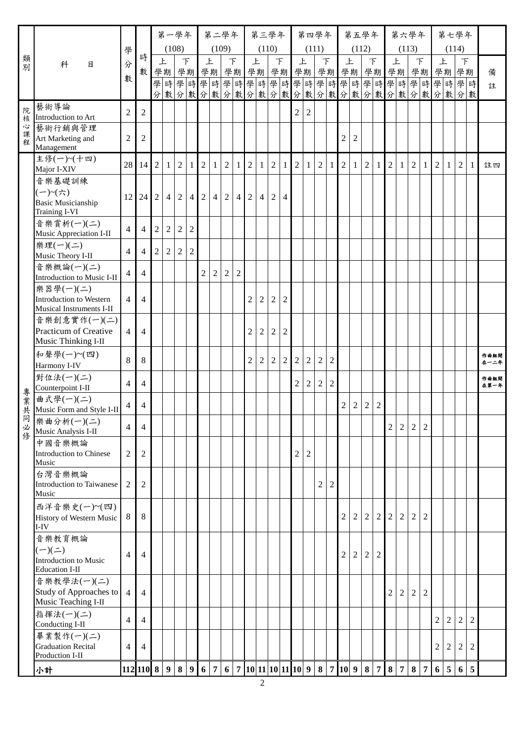| (108)<br>(109)<br>(110)<br>(111)<br>(112)<br>(113)<br>(114)<br>學<br>時<br>類別<br>上<br>$\top$<br>上<br>$\top$<br>上<br>$\top$<br>$\top$<br>上<br>$\top$<br>上<br>上<br>$\top$<br>上<br>$\mathcal{F}$<br>科<br>目<br>分<br>數<br>學期 學期 學期 學期 學期 学期 学期 学期 学期 学期 学期 学期 学期 学期 学期<br>備<br>數<br>學時學時學時學時學時學時學時學時學時學時學時學時學時學時學時<br>註<br>分數分數分數分數分數分數分數分數分數分數分數分數分數分數分數分數<br>藝術導論<br>院<br>$\overline{2}$<br>$\overline{2}$<br>2<br>$\mathbf{2}$<br>Introduction to Art<br>核<br>心課<br>藝術行銷與管理<br>Art Marketing and<br>$\overline{2}$<br>$\mathfrak{2}$<br>$\overline{2}$<br>2<br>程<br>Management<br>主修(一)~(十四)<br>$\overline{2}$<br>28<br>$\overline{2}$<br>$\sqrt{2}$<br>$\overline{2}$<br>$\overline{2}$<br>$\overline{2}$<br>$\overline{2}$<br>$\overline{2}$<br>$\overline{2}$<br>$\overline{2}$<br>$\overline{2}$<br>$\overline{2}$<br>2 <sub>1</sub><br>$\overline{2}$<br>14<br>1 <sup>1</sup><br>-1<br>$\mathbf{1}$<br>1 <sup>1</sup><br>1<br>1<br>$\mathbf{1}$<br>1 <sup>1</sup><br>註四<br>$\mathbf{1}$<br>1<br>-1<br>1<br>$\mathbf{1}$<br>$\mathbf{1}$<br>Major I-XIV<br>音樂基礎訓練<br>$(-)$ ~ $(\npreceq)$<br>$4 \mid 2$<br>24<br>$\overline{2}$<br>$\overline{2}$<br>2<br>2<br>$\overline{4}$<br>12 <sub>1</sub><br>$\overline{4}$<br>$\overline{4}$<br>$\overline{2}$<br>$\overline{4}$<br>$\overline{4}$<br><b>Basic Musicianship</b><br><b>Training I-VI</b><br>音樂賞析(一)(二)<br>$\sqrt{2}$<br>$\overline{2}$<br>$\overline{2}$<br>$\overline{2}$<br>$\overline{4}$<br>$\overline{4}$<br>Music Appreciation I-II<br>樂理(一)(二)<br>$\overline{2}$<br>$\overline{2}$<br>$\overline{2}$<br>$\overline{4}$<br>$\overline{4}$<br>$\overline{2}$<br>Music Theory I-II<br>音樂概論(一)(二)<br>$\overline{2}$<br>$\overline{2}$<br>$\overline{4}$<br>$\overline{2}$<br>$\overline{2}$<br>4<br>Introduction to Music I-II<br>樂器學(一)(二)<br>$\overline{2}$<br><b>Introduction to Western</b><br>$\overline{4}$<br>$\overline{2}$<br>2<br>$\overline{4}$<br>2<br>Musical Instruments I-II<br>音樂創意實作(一)(二)<br>Practicum of Creative<br>$\overline{2}$<br>$\overline{4}$<br>$\overline{2}$<br>$\overline{2}$<br>2<br>4<br>Music Thinking I-II<br>和聲學(一)~(四)<br>作曲組開<br>8<br>8<br>$\overline{2}$<br>$\overline{2}$<br>$\overline{c}$<br>$\overline{2}$<br>$\boldsymbol{2}$<br>$\sqrt{2}$<br>$\overline{2}$<br>2<br>在一二年<br>Harmony I-IV<br>對位法(一)(二)<br>作曲組開<br>$\overline{4}$<br>$\overline{2}$<br>$\overline{2}$<br>$\overline{2}$<br>$\overline{4}$<br>2<br>在第一年<br>Counterpoint I-II<br>專業共<br>曲式學(一)(二)<br>$\overline{4}$<br>$\mathfrak{2}$<br>$\overline{2}$<br>$\mathfrak 2$<br>4<br>2<br>Music Form and Style I-II<br>同 樂曲分析(一)(二)<br>$\overline{2}$<br>$\overline{2}$<br>$\sqrt{2}$<br>$\overline{4}$<br>$\overline{4}$<br>$\overline{c}$<br>必修<br>Music Analysis I-II<br>中國音樂概論<br>$\overline{2}$<br>$\overline{2}$<br>$\overline{2}$<br>$\overline{2}$<br>Introduction to Chinese<br>Music<br>台灣音樂概論<br>$\overline{2}$<br>$\mathbf{2}$<br>$\overline{2}$<br>Introduction to Taiwanese<br>2<br>Music<br>西洋音樂史(一)~(四)<br>$\overline{2}$<br>$\overline{2}$<br>$\overline{2}$<br>8<br>$\overline{2}$<br>$\overline{2}$<br>$\mathbf{2}$<br>$\sqrt{2}$<br>8<br>2<br>History of Western Music<br>$I-IV$<br>音樂教育概論<br>$(-)(\equiv)$<br>$\overline{2}$<br>$\sqrt{2}$<br>$\mathfrak 2$<br>$\overline{2}$<br>$\overline{\mathcal{A}}$<br>$\overline{4}$<br><b>Introduction to Music</b><br><b>Education I-II</b><br>音樂教學法(一)(二)<br>Study of Approaches to<br>$\overline{4}$<br>$\overline{2}$<br>$\mathfrak{2}$<br>$\overline{4}$<br>2<br>$\overline{c}$<br>Music Teaching I-II<br>指揮法(一)(二)<br>$\overline{4}$<br>$\overline{4}$<br>$\overline{2}$<br>$\overline{2}$<br>$\overline{2}$<br>$\overline{c}$<br>Conducting I-II<br>畢業製作(一)(二)<br><b>Graduation Recital</b><br>$\overline{4}$<br>$\overline{2}$<br>$\overline{2}$<br>$\overline{2}$<br>4<br>2<br>Production I-II<br>6 7 10 11 10 11 10 9 8 7 10 9 8  <br>9 6<br>$9 \mid 8$<br>112 110 8<br>7 8 7 |    |  |  | 第一學年 |  |                 | 第二學年 |  | 第三學年 |  | 第四學年 |  | 第五學年 |  | 第六學年 |                |                |   |                | 第七學年 |                |  |
|----------------------------------------------------------------------------------------------------------------------------------------------------------------------------------------------------------------------------------------------------------------------------------------------------------------------------------------------------------------------------------------------------------------------------------------------------------------------------------------------------------------------------------------------------------------------------------------------------------------------------------------------------------------------------------------------------------------------------------------------------------------------------------------------------------------------------------------------------------------------------------------------------------------------------------------------------------------------------------------------------------------------------------------------------------------------------------------------------------------------------------------------------------------------------------------------------------------------------------------------------------------------------------------------------------------------------------------------------------------------------------------------------------------------------------------------------------------------------------------------------------------------------------------------------------------------------------------------------------------------------------------------------------------------------------------------------------------------------------------------------------------------------------------------------------------------------------------------------------------------------------------------------------------------------------------------------------------------------------------------------------------------------------------------------------------------------------------------------------------------------------------------------------------------------------------------------------------------------------------------------------------------------------------------------------------------------------------------------------------------------------------------------------------------------------------------------------------------------------------------------------------------------------------------------------------------------------------------------------------------------------------------------------------------------------------------------------------------------------------------------------------------------------------------------------------------------------------------------------------------------------------------------------------------------------------------------------------------------------------------------------------------------------------------------------------------------------------------------------------------------------------------------------------------------------------------------------------------------------------------------------------------------------------------------------------------------------------------------------------------------------------------------------------------------------------------------------------------------------------------------------------------------------------------------------------------------------------------------------------------------------------------------------------------------------------------------------------------------------------------------------------------------------------------------------------------------------------------------------------------------------------------------------------------|----|--|--|------|--|-----------------|------|--|------|--|------|--|------|--|------|----------------|----------------|---|----------------|------|----------------|--|
|                                                                                                                                                                                                                                                                                                                                                                                                                                                                                                                                                                                                                                                                                                                                                                                                                                                                                                                                                                                                                                                                                                                                                                                                                                                                                                                                                                                                                                                                                                                                                                                                                                                                                                                                                                                                                                                                                                                                                                                                                                                                                                                                                                                                                                                                                                                                                                                                                                                                                                                                                                                                                                                                                                                                                                                                                                                                                                                                                                                                                                                                                                                                                                                                                                                                                                                                                                                                                                                                                                                                                                                                                                                                                                                                                                                                                                                                                                                      |    |  |  |      |  |                 |      |  |      |  |      |  |      |  |      |                |                |   |                |      |                |  |
|                                                                                                                                                                                                                                                                                                                                                                                                                                                                                                                                                                                                                                                                                                                                                                                                                                                                                                                                                                                                                                                                                                                                                                                                                                                                                                                                                                                                                                                                                                                                                                                                                                                                                                                                                                                                                                                                                                                                                                                                                                                                                                                                                                                                                                                                                                                                                                                                                                                                                                                                                                                                                                                                                                                                                                                                                                                                                                                                                                                                                                                                                                                                                                                                                                                                                                                                                                                                                                                                                                                                                                                                                                                                                                                                                                                                                                                                                                                      |    |  |  |      |  |                 |      |  |      |  |      |  |      |  |      |                |                |   |                |      |                |  |
|                                                                                                                                                                                                                                                                                                                                                                                                                                                                                                                                                                                                                                                                                                                                                                                                                                                                                                                                                                                                                                                                                                                                                                                                                                                                                                                                                                                                                                                                                                                                                                                                                                                                                                                                                                                                                                                                                                                                                                                                                                                                                                                                                                                                                                                                                                                                                                                                                                                                                                                                                                                                                                                                                                                                                                                                                                                                                                                                                                                                                                                                                                                                                                                                                                                                                                                                                                                                                                                                                                                                                                                                                                                                                                                                                                                                                                                                                                                      |    |  |  |      |  |                 |      |  |      |  |      |  |      |  |      |                |                |   |                |      |                |  |
|                                                                                                                                                                                                                                                                                                                                                                                                                                                                                                                                                                                                                                                                                                                                                                                                                                                                                                                                                                                                                                                                                                                                                                                                                                                                                                                                                                                                                                                                                                                                                                                                                                                                                                                                                                                                                                                                                                                                                                                                                                                                                                                                                                                                                                                                                                                                                                                                                                                                                                                                                                                                                                                                                                                                                                                                                                                                                                                                                                                                                                                                                                                                                                                                                                                                                                                                                                                                                                                                                                                                                                                                                                                                                                                                                                                                                                                                                                                      |    |  |  |      |  |                 |      |  |      |  |      |  |      |  |      |                |                |   |                |      |                |  |
|                                                                                                                                                                                                                                                                                                                                                                                                                                                                                                                                                                                                                                                                                                                                                                                                                                                                                                                                                                                                                                                                                                                                                                                                                                                                                                                                                                                                                                                                                                                                                                                                                                                                                                                                                                                                                                                                                                                                                                                                                                                                                                                                                                                                                                                                                                                                                                                                                                                                                                                                                                                                                                                                                                                                                                                                                                                                                                                                                                                                                                                                                                                                                                                                                                                                                                                                                                                                                                                                                                                                                                                                                                                                                                                                                                                                                                                                                                                      |    |  |  |      |  |                 |      |  |      |  |      |  |      |  |      |                |                |   |                |      |                |  |
|                                                                                                                                                                                                                                                                                                                                                                                                                                                                                                                                                                                                                                                                                                                                                                                                                                                                                                                                                                                                                                                                                                                                                                                                                                                                                                                                                                                                                                                                                                                                                                                                                                                                                                                                                                                                                                                                                                                                                                                                                                                                                                                                                                                                                                                                                                                                                                                                                                                                                                                                                                                                                                                                                                                                                                                                                                                                                                                                                                                                                                                                                                                                                                                                                                                                                                                                                                                                                                                                                                                                                                                                                                                                                                                                                                                                                                                                                                                      |    |  |  |      |  |                 |      |  |      |  |      |  |      |  |      |                |                |   |                |      |                |  |
|                                                                                                                                                                                                                                                                                                                                                                                                                                                                                                                                                                                                                                                                                                                                                                                                                                                                                                                                                                                                                                                                                                                                                                                                                                                                                                                                                                                                                                                                                                                                                                                                                                                                                                                                                                                                                                                                                                                                                                                                                                                                                                                                                                                                                                                                                                                                                                                                                                                                                                                                                                                                                                                                                                                                                                                                                                                                                                                                                                                                                                                                                                                                                                                                                                                                                                                                                                                                                                                                                                                                                                                                                                                                                                                                                                                                                                                                                                                      |    |  |  |      |  |                 |      |  |      |  |      |  |      |  |      |                |                |   |                |      |                |  |
|                                                                                                                                                                                                                                                                                                                                                                                                                                                                                                                                                                                                                                                                                                                                                                                                                                                                                                                                                                                                                                                                                                                                                                                                                                                                                                                                                                                                                                                                                                                                                                                                                                                                                                                                                                                                                                                                                                                                                                                                                                                                                                                                                                                                                                                                                                                                                                                                                                                                                                                                                                                                                                                                                                                                                                                                                                                                                                                                                                                                                                                                                                                                                                                                                                                                                                                                                                                                                                                                                                                                                                                                                                                                                                                                                                                                                                                                                                                      |    |  |  |      |  |                 |      |  |      |  |      |  |      |  |      |                |                |   |                |      |                |  |
|                                                                                                                                                                                                                                                                                                                                                                                                                                                                                                                                                                                                                                                                                                                                                                                                                                                                                                                                                                                                                                                                                                                                                                                                                                                                                                                                                                                                                                                                                                                                                                                                                                                                                                                                                                                                                                                                                                                                                                                                                                                                                                                                                                                                                                                                                                                                                                                                                                                                                                                                                                                                                                                                                                                                                                                                                                                                                                                                                                                                                                                                                                                                                                                                                                                                                                                                                                                                                                                                                                                                                                                                                                                                                                                                                                                                                                                                                                                      |    |  |  |      |  |                 |      |  |      |  |      |  |      |  |      |                |                |   |                |      |                |  |
|                                                                                                                                                                                                                                                                                                                                                                                                                                                                                                                                                                                                                                                                                                                                                                                                                                                                                                                                                                                                                                                                                                                                                                                                                                                                                                                                                                                                                                                                                                                                                                                                                                                                                                                                                                                                                                                                                                                                                                                                                                                                                                                                                                                                                                                                                                                                                                                                                                                                                                                                                                                                                                                                                                                                                                                                                                                                                                                                                                                                                                                                                                                                                                                                                                                                                                                                                                                                                                                                                                                                                                                                                                                                                                                                                                                                                                                                                                                      |    |  |  |      |  |                 |      |  |      |  |      |  |      |  |      |                |                |   |                |      |                |  |
|                                                                                                                                                                                                                                                                                                                                                                                                                                                                                                                                                                                                                                                                                                                                                                                                                                                                                                                                                                                                                                                                                                                                                                                                                                                                                                                                                                                                                                                                                                                                                                                                                                                                                                                                                                                                                                                                                                                                                                                                                                                                                                                                                                                                                                                                                                                                                                                                                                                                                                                                                                                                                                                                                                                                                                                                                                                                                                                                                                                                                                                                                                                                                                                                                                                                                                                                                                                                                                                                                                                                                                                                                                                                                                                                                                                                                                                                                                                      |    |  |  |      |  |                 |      |  |      |  |      |  |      |  |      |                |                |   |                |      |                |  |
|                                                                                                                                                                                                                                                                                                                                                                                                                                                                                                                                                                                                                                                                                                                                                                                                                                                                                                                                                                                                                                                                                                                                                                                                                                                                                                                                                                                                                                                                                                                                                                                                                                                                                                                                                                                                                                                                                                                                                                                                                                                                                                                                                                                                                                                                                                                                                                                                                                                                                                                                                                                                                                                                                                                                                                                                                                                                                                                                                                                                                                                                                                                                                                                                                                                                                                                                                                                                                                                                                                                                                                                                                                                                                                                                                                                                                                                                                                                      |    |  |  |      |  |                 |      |  |      |  |      |  |      |  |      |                |                |   |                |      |                |  |
|                                                                                                                                                                                                                                                                                                                                                                                                                                                                                                                                                                                                                                                                                                                                                                                                                                                                                                                                                                                                                                                                                                                                                                                                                                                                                                                                                                                                                                                                                                                                                                                                                                                                                                                                                                                                                                                                                                                                                                                                                                                                                                                                                                                                                                                                                                                                                                                                                                                                                                                                                                                                                                                                                                                                                                                                                                                                                                                                                                                                                                                                                                                                                                                                                                                                                                                                                                                                                                                                                                                                                                                                                                                                                                                                                                                                                                                                                                                      |    |  |  |      |  |                 |      |  |      |  |      |  |      |  |      |                |                |   |                |      |                |  |
|                                                                                                                                                                                                                                                                                                                                                                                                                                                                                                                                                                                                                                                                                                                                                                                                                                                                                                                                                                                                                                                                                                                                                                                                                                                                                                                                                                                                                                                                                                                                                                                                                                                                                                                                                                                                                                                                                                                                                                                                                                                                                                                                                                                                                                                                                                                                                                                                                                                                                                                                                                                                                                                                                                                                                                                                                                                                                                                                                                                                                                                                                                                                                                                                                                                                                                                                                                                                                                                                                                                                                                                                                                                                                                                                                                                                                                                                                                                      |    |  |  |      |  |                 |      |  |      |  |      |  |      |  |      |                |                |   |                |      |                |  |
|                                                                                                                                                                                                                                                                                                                                                                                                                                                                                                                                                                                                                                                                                                                                                                                                                                                                                                                                                                                                                                                                                                                                                                                                                                                                                                                                                                                                                                                                                                                                                                                                                                                                                                                                                                                                                                                                                                                                                                                                                                                                                                                                                                                                                                                                                                                                                                                                                                                                                                                                                                                                                                                                                                                                                                                                                                                                                                                                                                                                                                                                                                                                                                                                                                                                                                                                                                                                                                                                                                                                                                                                                                                                                                                                                                                                                                                                                                                      |    |  |  |      |  |                 |      |  |      |  |      |  |      |  |      |                |                |   |                |      |                |  |
|                                                                                                                                                                                                                                                                                                                                                                                                                                                                                                                                                                                                                                                                                                                                                                                                                                                                                                                                                                                                                                                                                                                                                                                                                                                                                                                                                                                                                                                                                                                                                                                                                                                                                                                                                                                                                                                                                                                                                                                                                                                                                                                                                                                                                                                                                                                                                                                                                                                                                                                                                                                                                                                                                                                                                                                                                                                                                                                                                                                                                                                                                                                                                                                                                                                                                                                                                                                                                                                                                                                                                                                                                                                                                                                                                                                                                                                                                                                      |    |  |  |      |  |                 |      |  |      |  |      |  |      |  |      |                |                |   |                |      |                |  |
|                                                                                                                                                                                                                                                                                                                                                                                                                                                                                                                                                                                                                                                                                                                                                                                                                                                                                                                                                                                                                                                                                                                                                                                                                                                                                                                                                                                                                                                                                                                                                                                                                                                                                                                                                                                                                                                                                                                                                                                                                                                                                                                                                                                                                                                                                                                                                                                                                                                                                                                                                                                                                                                                                                                                                                                                                                                                                                                                                                                                                                                                                                                                                                                                                                                                                                                                                                                                                                                                                                                                                                                                                                                                                                                                                                                                                                                                                                                      |    |  |  |      |  |                 |      |  |      |  |      |  |      |  |      |                |                |   |                |      |                |  |
|                                                                                                                                                                                                                                                                                                                                                                                                                                                                                                                                                                                                                                                                                                                                                                                                                                                                                                                                                                                                                                                                                                                                                                                                                                                                                                                                                                                                                                                                                                                                                                                                                                                                                                                                                                                                                                                                                                                                                                                                                                                                                                                                                                                                                                                                                                                                                                                                                                                                                                                                                                                                                                                                                                                                                                                                                                                                                                                                                                                                                                                                                                                                                                                                                                                                                                                                                                                                                                                                                                                                                                                                                                                                                                                                                                                                                                                                                                                      |    |  |  |      |  |                 |      |  |      |  |      |  |      |  |      |                |                |   |                |      |                |  |
|                                                                                                                                                                                                                                                                                                                                                                                                                                                                                                                                                                                                                                                                                                                                                                                                                                                                                                                                                                                                                                                                                                                                                                                                                                                                                                                                                                                                                                                                                                                                                                                                                                                                                                                                                                                                                                                                                                                                                                                                                                                                                                                                                                                                                                                                                                                                                                                                                                                                                                                                                                                                                                                                                                                                                                                                                                                                                                                                                                                                                                                                                                                                                                                                                                                                                                                                                                                                                                                                                                                                                                                                                                                                                                                                                                                                                                                                                                                      |    |  |  |      |  |                 |      |  |      |  |      |  |      |  |      |                |                |   |                |      |                |  |
|                                                                                                                                                                                                                                                                                                                                                                                                                                                                                                                                                                                                                                                                                                                                                                                                                                                                                                                                                                                                                                                                                                                                                                                                                                                                                                                                                                                                                                                                                                                                                                                                                                                                                                                                                                                                                                                                                                                                                                                                                                                                                                                                                                                                                                                                                                                                                                                                                                                                                                                                                                                                                                                                                                                                                                                                                                                                                                                                                                                                                                                                                                                                                                                                                                                                                                                                                                                                                                                                                                                                                                                                                                                                                                                                                                                                                                                                                                                      |    |  |  |      |  |                 |      |  |      |  |      |  |      |  |      |                |                |   |                |      |                |  |
|                                                                                                                                                                                                                                                                                                                                                                                                                                                                                                                                                                                                                                                                                                                                                                                                                                                                                                                                                                                                                                                                                                                                                                                                                                                                                                                                                                                                                                                                                                                                                                                                                                                                                                                                                                                                                                                                                                                                                                                                                                                                                                                                                                                                                                                                                                                                                                                                                                                                                                                                                                                                                                                                                                                                                                                                                                                                                                                                                                                                                                                                                                                                                                                                                                                                                                                                                                                                                                                                                                                                                                                                                                                                                                                                                                                                                                                                                                                      |    |  |  |      |  |                 |      |  |      |  |      |  |      |  |      |                |                |   |                |      |                |  |
|                                                                                                                                                                                                                                                                                                                                                                                                                                                                                                                                                                                                                                                                                                                                                                                                                                                                                                                                                                                                                                                                                                                                                                                                                                                                                                                                                                                                                                                                                                                                                                                                                                                                                                                                                                                                                                                                                                                                                                                                                                                                                                                                                                                                                                                                                                                                                                                                                                                                                                                                                                                                                                                                                                                                                                                                                                                                                                                                                                                                                                                                                                                                                                                                                                                                                                                                                                                                                                                                                                                                                                                                                                                                                                                                                                                                                                                                                                                      |    |  |  |      |  |                 |      |  |      |  |      |  |      |  |      |                |                |   |                |      |                |  |
|                                                                                                                                                                                                                                                                                                                                                                                                                                                                                                                                                                                                                                                                                                                                                                                                                                                                                                                                                                                                                                                                                                                                                                                                                                                                                                                                                                                                                                                                                                                                                                                                                                                                                                                                                                                                                                                                                                                                                                                                                                                                                                                                                                                                                                                                                                                                                                                                                                                                                                                                                                                                                                                                                                                                                                                                                                                                                                                                                                                                                                                                                                                                                                                                                                                                                                                                                                                                                                                                                                                                                                                                                                                                                                                                                                                                                                                                                                                      |    |  |  |      |  |                 |      |  |      |  |      |  |      |  |      |                |                |   |                |      |                |  |
|                                                                                                                                                                                                                                                                                                                                                                                                                                                                                                                                                                                                                                                                                                                                                                                                                                                                                                                                                                                                                                                                                                                                                                                                                                                                                                                                                                                                                                                                                                                                                                                                                                                                                                                                                                                                                                                                                                                                                                                                                                                                                                                                                                                                                                                                                                                                                                                                                                                                                                                                                                                                                                                                                                                                                                                                                                                                                                                                                                                                                                                                                                                                                                                                                                                                                                                                                                                                                                                                                                                                                                                                                                                                                                                                                                                                                                                                                                                      |    |  |  |      |  |                 |      |  |      |  |      |  |      |  |      |                |                |   |                |      |                |  |
|                                                                                                                                                                                                                                                                                                                                                                                                                                                                                                                                                                                                                                                                                                                                                                                                                                                                                                                                                                                                                                                                                                                                                                                                                                                                                                                                                                                                                                                                                                                                                                                                                                                                                                                                                                                                                                                                                                                                                                                                                                                                                                                                                                                                                                                                                                                                                                                                                                                                                                                                                                                                                                                                                                                                                                                                                                                                                                                                                                                                                                                                                                                                                                                                                                                                                                                                                                                                                                                                                                                                                                                                                                                                                                                                                                                                                                                                                                                      |    |  |  |      |  |                 |      |  |      |  |      |  |      |  |      |                |                |   |                |      |                |  |
|                                                                                                                                                                                                                                                                                                                                                                                                                                                                                                                                                                                                                                                                                                                                                                                                                                                                                                                                                                                                                                                                                                                                                                                                                                                                                                                                                                                                                                                                                                                                                                                                                                                                                                                                                                                                                                                                                                                                                                                                                                                                                                                                                                                                                                                                                                                                                                                                                                                                                                                                                                                                                                                                                                                                                                                                                                                                                                                                                                                                                                                                                                                                                                                                                                                                                                                                                                                                                                                                                                                                                                                                                                                                                                                                                                                                                                                                                                                      |    |  |  |      |  |                 |      |  |      |  |      |  |      |  |      |                |                |   |                |      |                |  |
|                                                                                                                                                                                                                                                                                                                                                                                                                                                                                                                                                                                                                                                                                                                                                                                                                                                                                                                                                                                                                                                                                                                                                                                                                                                                                                                                                                                                                                                                                                                                                                                                                                                                                                                                                                                                                                                                                                                                                                                                                                                                                                                                                                                                                                                                                                                                                                                                                                                                                                                                                                                                                                                                                                                                                                                                                                                                                                                                                                                                                                                                                                                                                                                                                                                                                                                                                                                                                                                                                                                                                                                                                                                                                                                                                                                                                                                                                                                      |    |  |  |      |  |                 |      |  |      |  |      |  |      |  |      |                |                |   |                |      |                |  |
|                                                                                                                                                                                                                                                                                                                                                                                                                                                                                                                                                                                                                                                                                                                                                                                                                                                                                                                                                                                                                                                                                                                                                                                                                                                                                                                                                                                                                                                                                                                                                                                                                                                                                                                                                                                                                                                                                                                                                                                                                                                                                                                                                                                                                                                                                                                                                                                                                                                                                                                                                                                                                                                                                                                                                                                                                                                                                                                                                                                                                                                                                                                                                                                                                                                                                                                                                                                                                                                                                                                                                                                                                                                                                                                                                                                                                                                                                                                      |    |  |  |      |  |                 |      |  |      |  |      |  |      |  |      |                |                |   |                |      |                |  |
|                                                                                                                                                                                                                                                                                                                                                                                                                                                                                                                                                                                                                                                                                                                                                                                                                                                                                                                                                                                                                                                                                                                                                                                                                                                                                                                                                                                                                                                                                                                                                                                                                                                                                                                                                                                                                                                                                                                                                                                                                                                                                                                                                                                                                                                                                                                                                                                                                                                                                                                                                                                                                                                                                                                                                                                                                                                                                                                                                                                                                                                                                                                                                                                                                                                                                                                                                                                                                                                                                                                                                                                                                                                                                                                                                                                                                                                                                                                      |    |  |  |      |  |                 |      |  |      |  |      |  |      |  |      |                |                |   |                |      |                |  |
|                                                                                                                                                                                                                                                                                                                                                                                                                                                                                                                                                                                                                                                                                                                                                                                                                                                                                                                                                                                                                                                                                                                                                                                                                                                                                                                                                                                                                                                                                                                                                                                                                                                                                                                                                                                                                                                                                                                                                                                                                                                                                                                                                                                                                                                                                                                                                                                                                                                                                                                                                                                                                                                                                                                                                                                                                                                                                                                                                                                                                                                                                                                                                                                                                                                                                                                                                                                                                                                                                                                                                                                                                                                                                                                                                                                                                                                                                                                      |    |  |  |      |  |                 |      |  |      |  |      |  |      |  |      |                |                |   |                |      |                |  |
|                                                                                                                                                                                                                                                                                                                                                                                                                                                                                                                                                                                                                                                                                                                                                                                                                                                                                                                                                                                                                                                                                                                                                                                                                                                                                                                                                                                                                                                                                                                                                                                                                                                                                                                                                                                                                                                                                                                                                                                                                                                                                                                                                                                                                                                                                                                                                                                                                                                                                                                                                                                                                                                                                                                                                                                                                                                                                                                                                                                                                                                                                                                                                                                                                                                                                                                                                                                                                                                                                                                                                                                                                                                                                                                                                                                                                                                                                                                      |    |  |  |      |  |                 |      |  |      |  |      |  |      |  |      |                |                |   |                |      |                |  |
|                                                                                                                                                                                                                                                                                                                                                                                                                                                                                                                                                                                                                                                                                                                                                                                                                                                                                                                                                                                                                                                                                                                                                                                                                                                                                                                                                                                                                                                                                                                                                                                                                                                                                                                                                                                                                                                                                                                                                                                                                                                                                                                                                                                                                                                                                                                                                                                                                                                                                                                                                                                                                                                                                                                                                                                                                                                                                                                                                                                                                                                                                                                                                                                                                                                                                                                                                                                                                                                                                                                                                                                                                                                                                                                                                                                                                                                                                                                      |    |  |  |      |  |                 |      |  |      |  |      |  |      |  |      |                |                |   |                |      |                |  |
|                                                                                                                                                                                                                                                                                                                                                                                                                                                                                                                                                                                                                                                                                                                                                                                                                                                                                                                                                                                                                                                                                                                                                                                                                                                                                                                                                                                                                                                                                                                                                                                                                                                                                                                                                                                                                                                                                                                                                                                                                                                                                                                                                                                                                                                                                                                                                                                                                                                                                                                                                                                                                                                                                                                                                                                                                                                                                                                                                                                                                                                                                                                                                                                                                                                                                                                                                                                                                                                                                                                                                                                                                                                                                                                                                                                                                                                                                                                      |    |  |  |      |  |                 |      |  |      |  |      |  |      |  |      |                |                |   |                |      |                |  |
|                                                                                                                                                                                                                                                                                                                                                                                                                                                                                                                                                                                                                                                                                                                                                                                                                                                                                                                                                                                                                                                                                                                                                                                                                                                                                                                                                                                                                                                                                                                                                                                                                                                                                                                                                                                                                                                                                                                                                                                                                                                                                                                                                                                                                                                                                                                                                                                                                                                                                                                                                                                                                                                                                                                                                                                                                                                                                                                                                                                                                                                                                                                                                                                                                                                                                                                                                                                                                                                                                                                                                                                                                                                                                                                                                                                                                                                                                                                      |    |  |  |      |  |                 |      |  |      |  |      |  |      |  |      |                |                |   |                |      |                |  |
|                                                                                                                                                                                                                                                                                                                                                                                                                                                                                                                                                                                                                                                                                                                                                                                                                                                                                                                                                                                                                                                                                                                                                                                                                                                                                                                                                                                                                                                                                                                                                                                                                                                                                                                                                                                                                                                                                                                                                                                                                                                                                                                                                                                                                                                                                                                                                                                                                                                                                                                                                                                                                                                                                                                                                                                                                                                                                                                                                                                                                                                                                                                                                                                                                                                                                                                                                                                                                                                                                                                                                                                                                                                                                                                                                                                                                                                                                                                      |    |  |  |      |  |                 |      |  |      |  |      |  |      |  |      |                |                |   |                |      |                |  |
|                                                                                                                                                                                                                                                                                                                                                                                                                                                                                                                                                                                                                                                                                                                                                                                                                                                                                                                                                                                                                                                                                                                                                                                                                                                                                                                                                                                                                                                                                                                                                                                                                                                                                                                                                                                                                                                                                                                                                                                                                                                                                                                                                                                                                                                                                                                                                                                                                                                                                                                                                                                                                                                                                                                                                                                                                                                                                                                                                                                                                                                                                                                                                                                                                                                                                                                                                                                                                                                                                                                                                                                                                                                                                                                                                                                                                                                                                                                      |    |  |  |      |  |                 |      |  |      |  |      |  |      |  |      |                |                |   |                |      |                |  |
|                                                                                                                                                                                                                                                                                                                                                                                                                                                                                                                                                                                                                                                                                                                                                                                                                                                                                                                                                                                                                                                                                                                                                                                                                                                                                                                                                                                                                                                                                                                                                                                                                                                                                                                                                                                                                                                                                                                                                                                                                                                                                                                                                                                                                                                                                                                                                                                                                                                                                                                                                                                                                                                                                                                                                                                                                                                                                                                                                                                                                                                                                                                                                                                                                                                                                                                                                                                                                                                                                                                                                                                                                                                                                                                                                                                                                                                                                                                      |    |  |  |      |  |                 |      |  |      |  |      |  |      |  |      |                |                |   |                |      |                |  |
|                                                                                                                                                                                                                                                                                                                                                                                                                                                                                                                                                                                                                                                                                                                                                                                                                                                                                                                                                                                                                                                                                                                                                                                                                                                                                                                                                                                                                                                                                                                                                                                                                                                                                                                                                                                                                                                                                                                                                                                                                                                                                                                                                                                                                                                                                                                                                                                                                                                                                                                                                                                                                                                                                                                                                                                                                                                                                                                                                                                                                                                                                                                                                                                                                                                                                                                                                                                                                                                                                                                                                                                                                                                                                                                                                                                                                                                                                                                      |    |  |  |      |  |                 |      |  |      |  |      |  |      |  |      |                |                |   |                |      |                |  |
|                                                                                                                                                                                                                                                                                                                                                                                                                                                                                                                                                                                                                                                                                                                                                                                                                                                                                                                                                                                                                                                                                                                                                                                                                                                                                                                                                                                                                                                                                                                                                                                                                                                                                                                                                                                                                                                                                                                                                                                                                                                                                                                                                                                                                                                                                                                                                                                                                                                                                                                                                                                                                                                                                                                                                                                                                                                                                                                                                                                                                                                                                                                                                                                                                                                                                                                                                                                                                                                                                                                                                                                                                                                                                                                                                                                                                                                                                                                      |    |  |  |      |  |                 |      |  |      |  |      |  |      |  |      |                |                |   |                |      |                |  |
|                                                                                                                                                                                                                                                                                                                                                                                                                                                                                                                                                                                                                                                                                                                                                                                                                                                                                                                                                                                                                                                                                                                                                                                                                                                                                                                                                                                                                                                                                                                                                                                                                                                                                                                                                                                                                                                                                                                                                                                                                                                                                                                                                                                                                                                                                                                                                                                                                                                                                                                                                                                                                                                                                                                                                                                                                                                                                                                                                                                                                                                                                                                                                                                                                                                                                                                                                                                                                                                                                                                                                                                                                                                                                                                                                                                                                                                                                                                      |    |  |  |      |  |                 |      |  |      |  |      |  |      |  |      |                |                |   |                |      |                |  |
|                                                                                                                                                                                                                                                                                                                                                                                                                                                                                                                                                                                                                                                                                                                                                                                                                                                                                                                                                                                                                                                                                                                                                                                                                                                                                                                                                                                                                                                                                                                                                                                                                                                                                                                                                                                                                                                                                                                                                                                                                                                                                                                                                                                                                                                                                                                                                                                                                                                                                                                                                                                                                                                                                                                                                                                                                                                                                                                                                                                                                                                                                                                                                                                                                                                                                                                                                                                                                                                                                                                                                                                                                                                                                                                                                                                                                                                                                                                      |    |  |  |      |  |                 |      |  |      |  |      |  |      |  |      |                |                |   |                |      |                |  |
|                                                                                                                                                                                                                                                                                                                                                                                                                                                                                                                                                                                                                                                                                                                                                                                                                                                                                                                                                                                                                                                                                                                                                                                                                                                                                                                                                                                                                                                                                                                                                                                                                                                                                                                                                                                                                                                                                                                                                                                                                                                                                                                                                                                                                                                                                                                                                                                                                                                                                                                                                                                                                                                                                                                                                                                                                                                                                                                                                                                                                                                                                                                                                                                                                                                                                                                                                                                                                                                                                                                                                                                                                                                                                                                                                                                                                                                                                                                      |    |  |  |      |  |                 |      |  |      |  |      |  |      |  |      |                |                |   |                |      |                |  |
|                                                                                                                                                                                                                                                                                                                                                                                                                                                                                                                                                                                                                                                                                                                                                                                                                                                                                                                                                                                                                                                                                                                                                                                                                                                                                                                                                                                                                                                                                                                                                                                                                                                                                                                                                                                                                                                                                                                                                                                                                                                                                                                                                                                                                                                                                                                                                                                                                                                                                                                                                                                                                                                                                                                                                                                                                                                                                                                                                                                                                                                                                                                                                                                                                                                                                                                                                                                                                                                                                                                                                                                                                                                                                                                                                                                                                                                                                                                      | 小計 |  |  |      |  | $7\overline{ }$ |      |  |      |  |      |  |      |  |      | 8 <sup>1</sup> | $\overline{7}$ | 6 | 5 <sup>1</sup> | 6    | $\overline{5}$ |  |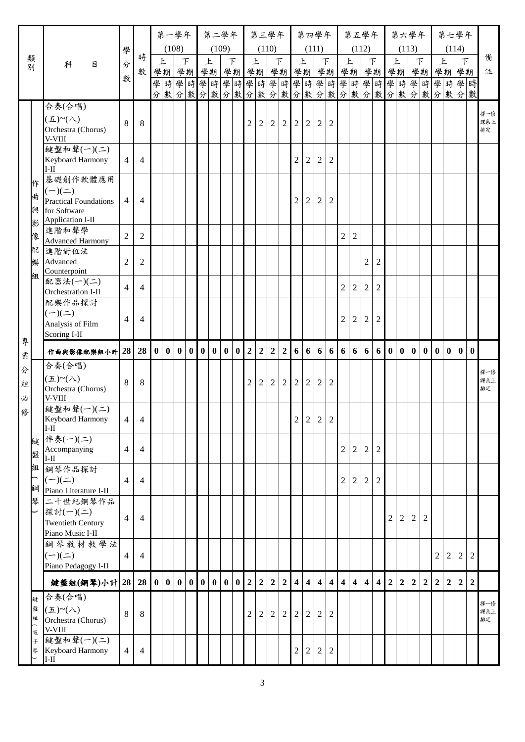|                  |                                                                      |                 |                |                  | 第一學年             |          |          |          | 第二學年     |          |          |                  | 第三學年           |                |                  |                         |                         | 第四學年                    |                         |                         | 第五學年                    |                         |                |                  | 第六學年           |                |                |                |                | 第七學年                             |                  |                  |
|------------------|----------------------------------------------------------------------|-----------------|----------------|------------------|------------------|----------|----------|----------|----------|----------|----------|------------------|----------------|----------------|------------------|-------------------------|-------------------------|-------------------------|-------------------------|-------------------------|-------------------------|-------------------------|----------------|------------------|----------------|----------------|----------------|----------------|----------------|----------------------------------|------------------|------------------|
|                  |                                                                      | 學               | 時              |                  |                  | (108)    |          |          | (109)    |          |          |                  | (110)          |                |                  |                         |                         | (111)                   |                         |                         | (112)                   |                         |                |                  | (113)          |                |                |                |                | (114)                            |                  | 備                |
| 類別               | 科<br>目                                                               | 分               | 數              |                  | 上                |          | F        | 上        |          | F        |          |                  | 上              | $\top$         |                  | 上                       |                         |                         | F                       |                         | 上                       |                         | $\top$         | 上                |                |                | $\top$         |                | 上              | $\top$<br>學期學期                   |                  | 註                |
|                  |                                                                      | 數               |                |                  |                  |          |          |          |          |          |          |                  |                |                |                  |                         |                         |                         |                         |                         |                         |                         |                |                  |                |                |                |                |                | 學時學時                             |                  |                  |
|                  |                                                                      |                 |                |                  |                  |          |          |          |          |          |          |                  |                |                |                  |                         |                         |                         |                         |                         |                         |                         |                |                  |                |                |                |                |                | 分數分數分數分數分數分數分數分數分數分數分數分數分數分數分數分數 |                  |                  |
|                  | 合奏(合唱)                                                               |                 |                |                  |                  |          |          |          |          |          |          |                  |                |                |                  |                         |                         |                         |                         |                         |                         |                         |                |                  |                |                |                |                |                |                                  |                  | 擇一修              |
|                  | $(\pm)$ ~ $(\wedge)$<br>Orchestra (Chorus)<br>V-VIII                 | 8               | 8              |                  |                  |          |          |          |          |          |          | $\overline{2}$   | $\overline{2}$ | $\overline{2}$ | $\overline{2}$   | 2                       | $\overline{2}$          | 2                       | 2                       |                         |                         |                         |                |                  |                |                |                |                |                |                                  |                  | 課系上<br>排定        |
|                  | 鍵盤和聲(一)(二)<br>Keyboard Harmony<br>$I-II$                             | $\overline{4}$  | 4              |                  |                  |          |          |          |          |          |          |                  |                |                |                  | $\overline{2}$          | $\overline{2}$          | $\overline{c}$          | 2                       |                         |                         |                         |                |                  |                |                |                |                |                |                                  |                  |                  |
| 作<br>曲<br>與      | 基礎創作軟體應用<br>$(-)(=)$<br><b>Practical Foundations</b><br>for Software | $\overline{4}$  | $\overline{4}$ |                  |                  |          |          |          |          |          |          |                  |                |                |                  | $\boldsymbol{2}$        | $\sqrt{2}$              | $\boldsymbol{2}$        | $\overline{2}$          |                         |                         |                         |                |                  |                |                |                |                |                |                                  |                  |                  |
| 影<br>像           | Application I-II<br>進階和聲學<br><b>Advanced Harmony</b>                 | $\overline{2}$  | 2              |                  |                  |          |          |          |          |          |          |                  |                |                |                  |                         |                         |                         |                         | $\overline{2}$          | $\overline{2}$          |                         |                |                  |                |                |                |                |                |                                  |                  |                  |
| 配<br>樂           | 進階對位法<br>Advanced<br>Counterpoint                                    | $\overline{2}$  | $\overline{c}$ |                  |                  |          |          |          |          |          |          |                  |                |                |                  |                         |                         |                         |                         |                         |                         | $\overline{c}$          | $\overline{c}$ |                  |                |                |                |                |                |                                  |                  |                  |
| 組                | 配器法(一)(二)<br>Orchestration I-II                                      | $\overline{4}$  | $\overline{4}$ |                  |                  |          |          |          |          |          |          |                  |                |                |                  |                         |                         |                         |                         | $\overline{2}$          | $\boldsymbol{2}$        | $\overline{2}$          | $\overline{2}$ |                  |                |                |                |                |                |                                  |                  |                  |
|                  | 配樂作品探討<br>$(-)(\equiv)$<br>Analysis of Film<br>Scoring I-II          | $\overline{4}$  | $\overline{4}$ |                  |                  |          |          |          |          |          |          |                  |                |                |                  |                         |                         |                         |                         | $\overline{2}$          | $\sqrt{2}$              | 2                       | $\overline{2}$ |                  |                |                |                |                |                |                                  |                  |                  |
| 專<br>業           | 作曲與影像配樂組小計 28                                                        |                 | 28             | $\boldsymbol{0}$ |                  |          |          |          |          | $\vert$  |          | $0\vert 2$       | $\overline{2}$ | 2 <sup>1</sup> | $\overline{2}$   | 6                       |                         | 6 6                     |                         | 6 6 6                   |                         |                         | 6 6 0 0        |                  |                |                | 0 <sub>0</sub> | $\mathbf{0}$   |                | 0 0 0                            |                  |                  |
| 分<br>組           | 合奏(合唱)<br>$(\pm)$ ~ $(\wedge)$<br>Orchestra (Chorus)                 | 8               | 8              |                  |                  |          |          |          |          |          |          | $\overline{2}$   | $\overline{2}$ | $\overline{2}$ | $\overline{2}$   | $\overline{2}$          | $\sqrt{2}$              | $\overline{c}$          | $\overline{2}$          |                         |                         |                         |                |                  |                |                |                |                |                |                                  |                  | 擇一修<br>課系上<br>排定 |
| 必<br>俢           | V-VIII<br>鍵盤和聲(一)(二)<br>Keyboard Harmony<br>$I-II$                   | $\vert 4 \vert$ | $\Delta$       |                  |                  |          |          |          |          |          |          |                  |                |                |                  |                         |                         | 2 2 2                   | $\overline{2}$          |                         |                         |                         |                |                  |                |                |                |                |                |                                  |                  |                  |
| 鍵<br>盤           | 伴奏(一)(二)<br>Accompanying<br>$II-I$                                   | 4               | $\overline{4}$ |                  |                  |          |          |          |          |          |          |                  |                |                |                  |                         |                         |                         |                         | $\boldsymbol{2}$        | $\overline{c}$          | $\overline{2}$          | $\overline{2}$ |                  |                |                |                |                |                |                                  |                  |                  |
| 組<br>鋼           | 鋼琴作品探討<br>$(-)(=)$<br>Piano Literature I-II                          | $\overline{4}$  | $\overline{4}$ |                  |                  |          |          |          |          |          |          |                  |                |                |                  |                         |                         |                         |                         | $\sqrt{2}$              | $\overline{c}$          | $\overline{2}$          | $\overline{2}$ |                  |                |                |                |                |                |                                  |                  |                  |
| 琴                | 二十世紀鋼琴作品<br>探討(一)(二)<br><b>Twentieth Century</b><br>Piano Music I-II | $\overline{4}$  | $\overline{4}$ |                  |                  |          |          |          |          |          |          |                  |                |                |                  |                         |                         |                         |                         |                         |                         |                         |                | $\mathfrak{D}$   | 2              | $\overline{c}$ | $\mathfrak{2}$ |                |                |                                  |                  |                  |
|                  | 鋼琴教材教學法<br>$(-)(-)$<br>Piano Pedagogy I-II                           | 4               | $\overline{4}$ |                  |                  |          |          |          |          |          |          |                  |                |                |                  |                         |                         |                         |                         |                         |                         |                         |                |                  |                |                |                | $\overline{c}$ | $\overline{2}$ | $\boldsymbol{2}$                 | 2                |                  |
|                  | 鍵盤組(鋼琴)小計 28                                                         |                 | 28             | $\mathbf{0}$     | $\boldsymbol{0}$ | $\bf{0}$ | $\bf{0}$ | $\bf{0}$ | $\bf{0}$ | $\bf{0}$ | $\bf{0}$ | $\boldsymbol{2}$ | $\overline{2}$ | $\mathbf 2$    | $\boldsymbol{2}$ | $\overline{\mathbf{4}}$ | $\overline{\mathbf{4}}$ | $\overline{\mathbf{4}}$ | $\overline{\mathbf{4}}$ | $\overline{\mathbf{4}}$ | $\overline{\mathbf{4}}$ | $\overline{\mathbf{4}}$ | $\overline{4}$ | $\boldsymbol{2}$ | $\overline{2}$ | $\overline{2}$ | $\mathbf 2$    | $\overline{2}$ | $\overline{2}$ | $\mathbf 2$                      | $\boldsymbol{2}$ |                  |
| 鍵<br>盤<br>組<br>電 | 合奏(合唱)<br>$(\pm)$ ~ $(\wedge)$<br>Orchestra (Chorus)<br>V-VIII       | 8               | 8              |                  |                  |          |          |          |          |          |          | 2                | 2              | $\overline{2}$ | 2                | $\overline{2}$          | $\overline{2}$          | 2                       | 2                       |                         |                         |                         |                |                  |                |                |                |                |                |                                  |                  | 擇一修<br>課系上<br>排定 |
| 子<br>琴           | 鍵盤和聲(一)(二)<br>Keyboard Harmony<br>$I-II$                             | 4               | 4              |                  |                  |          |          |          |          |          |          |                  |                |                |                  | $\boldsymbol{2}$        | $\boldsymbol{2}$        | 2                       | 2                       |                         |                         |                         |                |                  |                |                |                |                |                |                                  |                  |                  |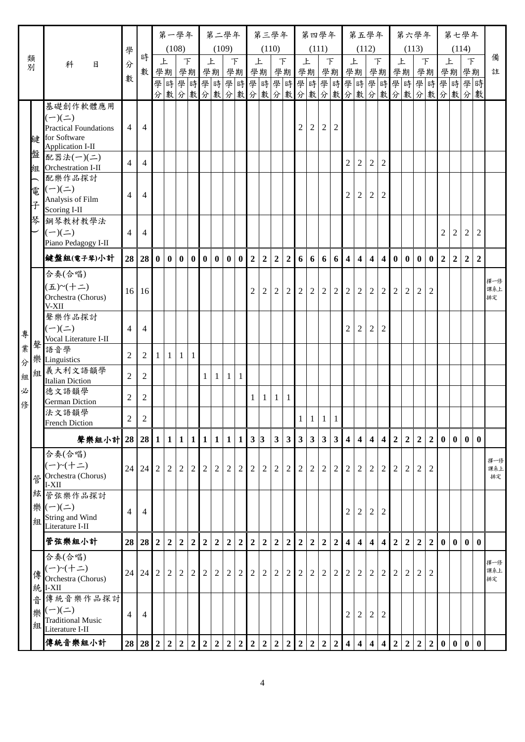|            |        |                                              |                  |                          |                  | 第一學年             |                  |                          |                  | 第二學年             |                |                  |                |                | 第三學年           |                  |                  |                  | 第四學年                     |                |                         | 第五學年                    |                         |                         |                  | 第六學年           |                  |                  |                |                  | 第七學年                                 |                |            |
|------------|--------|----------------------------------------------|------------------|--------------------------|------------------|------------------|------------------|--------------------------|------------------|------------------|----------------|------------------|----------------|----------------|----------------|------------------|------------------|------------------|--------------------------|----------------|-------------------------|-------------------------|-------------------------|-------------------------|------------------|----------------|------------------|------------------|----------------|------------------|--------------------------------------|----------------|------------|
|            |        |                                              | 學                |                          |                  |                  | (108)            |                          |                  | (109)            |                |                  |                | (110)          |                |                  |                  |                  | (111)                    |                |                         | (112)                   |                         |                         |                  |                | (113)            |                  |                |                  | (114)                                |                |            |
| 類<br>別     |        | 科<br>目                                       | 分                | 時                        |                  | 上                |                  | $\overline{\mathcal{F}}$ | 上                |                  | F              |                  |                | 上              |                | F                | 上                |                  |                          | F              |                         | 上                       |                         | $\top$                  |                  | 上              |                  | $\top$           |                | 上                | $\top$                               |                | 備          |
|            |        |                                              | 數                | 數                        |                  |                  |                  | 學期學期學期                   |                  |                  |                | 學期               |                | 學期             |                | 學期               | 學期               |                  |                          | 學期             |                         | 學期                      |                         | 學期學期學期                  |                  |                |                  |                  |                |                  | 學期學期<br>學時學時學時學時學時學時學時學時學時學時學時學時學時學時 |                | 註          |
|            |        |                                              |                  |                          |                  |                  |                  |                          |                  |                  |                |                  |                |                |                |                  |                  |                  |                          |                |                         |                         |                         |                         |                  |                |                  |                  |                |                  | 分數分數分數分數分數分數分數分數分數分數分數分數分數分數分數       |                |            |
|            |        | 基礎創作軟體應用                                     |                  |                          |                  |                  |                  |                          |                  |                  |                |                  |                |                |                |                  |                  |                  |                          |                |                         |                         |                         |                         |                  |                |                  |                  |                |                  |                                      |                |            |
|            |        | $(-)(\equiv)$                                | $\overline{4}$   | 4                        |                  |                  |                  |                          |                  |                  |                |                  |                |                |                |                  | $\boldsymbol{2}$ | $\sqrt{2}$       | $\overline{2}$           | $\overline{2}$ |                         |                         |                         |                         |                  |                |                  |                  |                |                  |                                      |                |            |
| 鍵          |        | <b>Practical Foundations</b><br>for Software |                  |                          |                  |                  |                  |                          |                  |                  |                |                  |                |                |                |                  |                  |                  |                          |                |                         |                         |                         |                         |                  |                |                  |                  |                |                  |                                      |                |            |
| 盤          |        | Application I-II                             |                  |                          |                  |                  |                  |                          |                  |                  |                |                  |                |                |                |                  |                  |                  |                          |                |                         |                         |                         |                         |                  |                |                  |                  |                |                  |                                      |                |            |
|            |        | 配器法(一)(二)<br><b>组</b> Orchestration I-II     | $\overline{4}$   | $\overline{4}$           |                  |                  |                  |                          |                  |                  |                |                  |                |                |                |                  |                  |                  |                          |                | 2                       | $\overline{2}$          | $\overline{2}$          | $\overline{2}$          |                  |                |                  |                  |                |                  |                                      |                |            |
|            |        | 配樂作品探討                                       |                  |                          |                  |                  |                  |                          |                  |                  |                |                  |                |                |                |                  |                  |                  |                          |                |                         |                         |                         |                         |                  |                |                  |                  |                |                  |                                      |                |            |
| 電          |        | $(-)(\equiv)$                                | 4                | $\overline{\mathcal{A}}$ |                  |                  |                  |                          |                  |                  |                |                  |                |                |                |                  |                  |                  |                          |                | 2                       | $\overline{2}$          | 2                       | 2                       |                  |                |                  |                  |                |                  |                                      |                |            |
| $\ddot{x}$ |        | Analysis of Film                             |                  |                          |                  |                  |                  |                          |                  |                  |                |                  |                |                |                |                  |                  |                  |                          |                |                         |                         |                         |                         |                  |                |                  |                  |                |                  |                                      |                |            |
| 琴          |        | Scoring I-II<br>鋼琴教材教學法                      |                  |                          |                  |                  |                  |                          |                  |                  |                |                  |                |                |                |                  |                  |                  |                          |                |                         |                         |                         |                         |                  |                |                  |                  |                |                  |                                      |                |            |
|            |        | $(-)(\equiv)$                                | $\overline{4}$   | $\overline{4}$           |                  |                  |                  |                          |                  |                  |                |                  |                |                |                |                  |                  |                  |                          |                |                         |                         |                         |                         |                  |                |                  |                  | 2              | $\overline{2}$   | $\overline{2}$                       | $\overline{2}$ |            |
|            |        | Piano Pedagogy I-II                          |                  |                          |                  |                  |                  |                          |                  |                  |                |                  |                |                |                |                  |                  |                  |                          |                |                         |                         |                         |                         |                  |                |                  |                  |                |                  |                                      |                |            |
|            |        | 鍵盤組(電子琴)小計                                   |                  | $28 \mid 28$             | $\mathbf{0}$     | $\mathbf{0}$     | $\mathbf{0}$     | $\vert 0 \vert$          | $\bf{0}$         | $\bf{0}$         |                | 0 <sub>0</sub>   | $\overline{2}$ | $\overline{2}$ | $\overline{2}$ | $\overline{2}$   | 6                | 6 <sup>1</sup>   | 6                        | 6              | $\overline{4}$          | $\overline{\mathbf{4}}$ | $\overline{\mathbf{4}}$ | 4 <sup>1</sup>          | $\mathbf{0}$     | $\mathbf{0}$   | $\mathbf{0}$     | $\mathbf{0}$     | $\overline{2}$ | $\overline{2}$   | $\overline{2}$                       | $\overline{2}$ |            |
|            |        | 合奏(合唱)                                       |                  |                          |                  |                  |                  |                          |                  |                  |                |                  |                |                |                |                  |                  |                  |                          |                |                         |                         |                         |                         |                  |                |                  |                  |                |                  |                                      |                | 擇一修        |
|            |        | (五)~(十二)                                     |                  | 16 16                    |                  |                  |                  |                          |                  |                  |                |                  | $\mathfrak{D}$ | $\overline{2}$ | 2              | 2                | $\overline{2}$   | $\overline{2}$   | $\overline{2}$           | $\overline{2}$ | $\overline{2}$          | $\overline{2}$          | 2                       | $\overline{2}$          | $\overline{2}$   | 2              | 2                | $\overline{2}$   |                |                  |                                      |                | 課系上        |
|            |        | Orchestra (Chorus)<br>V-XII                  |                  |                          |                  |                  |                  |                          |                  |                  |                |                  |                |                |                |                  |                  |                  |                          |                |                         |                         |                         |                         |                  |                |                  |                  |                |                  |                                      |                | 排定         |
|            |        | 聲樂作品探討                                       |                  |                          |                  |                  |                  |                          |                  |                  |                |                  |                |                |                |                  |                  |                  |                          |                |                         |                         |                         |                         |                  |                |                  |                  |                |                  |                                      |                |            |
| 專          |        | $(-)(\underline{-})$                         | $\overline{4}$   | 4                        |                  |                  |                  |                          |                  |                  |                |                  |                |                |                |                  |                  |                  |                          |                | $\sqrt{2}$              | $\overline{c}$          | $\overline{2}$          | $\overline{2}$          |                  |                |                  |                  |                |                  |                                      |                |            |
| 聲<br>業     |        | Vocal Literature I-II<br>語音學                 |                  |                          |                  |                  |                  |                          |                  |                  |                |                  |                |                |                |                  |                  |                  |                          |                |                         |                         |                         |                         |                  |                |                  |                  |                |                  |                                      |                |            |
| 分          |        | 樂 Linguistics                                | $\overline{2}$   | 2                        | 1                | $\mathbf{1}$     | $\mathbf{1}$     | $\mathbf{1}$             |                  |                  |                |                  |                |                |                |                  |                  |                  |                          |                |                         |                         |                         |                         |                  |                |                  |                  |                |                  |                                      |                |            |
| 組          | 組      | 義大利文語韻學                                      | $\boldsymbol{2}$ | $\overline{c}$           |                  |                  |                  |                          | $\mathbf{1}$     | 1                | $\mathbf{1}$   | $\mathbf{1}$     |                |                |                |                  |                  |                  |                          |                |                         |                         |                         |                         |                  |                |                  |                  |                |                  |                                      |                |            |
| 必          |        | <b>Italian Diction</b><br>德文語韻學              |                  |                          |                  |                  |                  |                          |                  |                  |                |                  |                |                |                |                  |                  |                  |                          |                |                         |                         |                         |                         |                  |                |                  |                  |                |                  |                                      |                |            |
| 俢          |        | <b>German Diction</b>                        | $\mathfrak{2}$   | $\overline{c}$           |                  |                  |                  |                          |                  |                  |                |                  | 1              | $\mathbf{1}$   | $\mathbf{1}$   | 1                |                  |                  |                          |                |                         |                         |                         |                         |                  |                |                  |                  |                |                  |                                      |                |            |
|            |        | 法文語韻學<br><b>French Diction</b>               | $\overline{2}$   | $\overline{2}$           |                  |                  |                  |                          |                  |                  |                |                  |                |                |                |                  |                  |                  | $1 \mid 1 \mid 1 \mid 1$ |                |                         |                         |                         |                         |                  |                |                  |                  |                |                  |                                      |                |            |
|            |        | 聲樂組小計 28 28                                  |                  |                          | $\mathbf{1}$     | $\mathbf{1}$     | $\vert 1 \vert$  | $\mathbf{1}$             | $\mathbf{1}$     | 1                | $\mathbf{1}$   | 1 <sup>1</sup>   | 3 3            |                | $\mathbf{3}$   | $\mathbf{3}$     | $\mathbf{3}$     | $\mathbf{3}$     | $\mathbf{3}$             | 3 <sup>1</sup> | $\overline{\mathbf{4}}$ | 4                       | $\overline{\mathbf{4}}$ | $\boldsymbol{4}$        | $\boldsymbol{2}$ | $\overline{2}$ | $\boldsymbol{2}$ | $\boldsymbol{2}$ | $\mathbf{0}$   | $\mathbf{0}$     | $\mathbf{0}$                         | $\mathbf{0}$   |            |
|            |        | 合奏(合唱)                                       |                  |                          |                  |                  |                  |                          |                  |                  |                |                  |                |                |                |                  |                  |                  |                          |                |                         |                         |                         |                         |                  |                |                  |                  |                |                  |                                      |                |            |
|            |        | $(-)$ ~ $(+=)$                               | 24               | 24                       | $\overline{2}$   | $\boldsymbol{2}$ | 2                | $\overline{2}$           | $\sqrt{2}$       | $\overline{2}$   | $\overline{2}$ | $\overline{2}$   | 2              | 2              | 2              | $\overline{c}$   | $\sqrt{2}$       | $\overline{2}$   | 2                        | 2              | 2                       | 2                       | 2                       | $\overline{2}$          | 2                | 2              | $\overline{2}$   | $\overline{c}$   |                |                  |                                      |                | 擇一修<br>課系上 |
|            | 管      | Orchestra (Chorus)                           |                  |                          |                  |                  |                  |                          |                  |                  |                |                  |                |                |                |                  |                  |                  |                          |                |                         |                         |                         |                         |                  |                |                  |                  |                |                  |                                      |                | 排定         |
|            | 絃      | I-XII<br>管弦樂作品探討                             |                  |                          |                  |                  |                  |                          |                  |                  |                |                  |                |                |                |                  |                  |                  |                          |                |                         |                         |                         |                         |                  |                |                  |                  |                |                  |                                      |                |            |
|            | 樂      | $(-)(\equiv)$                                |                  |                          |                  |                  |                  |                          |                  |                  |                |                  |                |                |                |                  |                  |                  |                          |                |                         |                         |                         |                         |                  |                |                  |                  |                |                  |                                      |                |            |
|            | 組      | String and Wind                              | 4                | $\overline{4}$           |                  |                  |                  |                          |                  |                  |                |                  |                |                |                |                  |                  |                  |                          |                | $\overline{c}$          | $\overline{2}$          | $\overline{2}$          | $\overline{2}$          |                  |                |                  |                  |                |                  |                                      |                |            |
|            |        | Literature I-II                              |                  |                          |                  |                  |                  |                          |                  |                  |                |                  |                |                |                |                  |                  |                  |                          |                |                         |                         |                         |                         |                  |                |                  |                  |                |                  |                                      |                |            |
|            |        | 管弦樂組小計                                       | 28               | 28                       | $\boldsymbol{2}$ | $\mathbf 2$      | $\boldsymbol{2}$ | $\boldsymbol{2}$         | $\boldsymbol{2}$ | $\boldsymbol{2}$ | $\overline{2}$ | $\boldsymbol{2}$ | $\overline{2}$ | $\overline{2}$ | $\mathbf 2$    | $\mathbf 2$      | $\boldsymbol{2}$ | $\boldsymbol{2}$ | $\mathbf 2$              | $\overline{2}$ | $\overline{\mathbf{4}}$ | $\overline{\mathbf{4}}$ | $\overline{\mathbf{4}}$ | $\overline{\mathbf{4}}$ | $\mathbf 2$      | $\overline{2}$ | $\overline{2}$   | $\mathbf 2$      | $\bf{0}$       | $\boldsymbol{0}$ | $\mathbf{0}$                         | $\mathbf{0}$   |            |
|            |        | 合奏(合唱)<br>$(-)$ ~ $(+=)$                     |                  |                          |                  |                  |                  |                          |                  |                  |                |                  |                |                |                |                  |                  |                  |                          |                |                         |                         |                         |                         |                  |                |                  |                  |                |                  |                                      |                | 擇一修        |
|            | 傳      | Orchestra (Chorus)                           | 24               | 24                       | $\overline{2}$   | $\overline{c}$   | 2                | $\overline{c}$           | $\overline{2}$   | $\overline{c}$   | $\overline{2}$ | 2                | 2              | $\overline{2}$ | $\overline{2}$ | 2                | $\overline{2}$   | $\overline{2}$   | 2                        | 2              | 2                       | 2                       | 2                       | $\overline{2}$          | 2                | 2              | $\overline{2}$   | $\overline{2}$   |                |                  |                                      |                | 課系上<br>排定  |
|            | 統      | $I-XII$                                      |                  |                          |                  |                  |                  |                          |                  |                  |                |                  |                |                |                |                  |                  |                  |                          |                |                         |                         |                         |                         |                  |                |                  |                  |                |                  |                                      |                |            |
|            | 흡      | 傳統音樂作品探討<br>$(-)(\pm)$                       |                  |                          |                  |                  |                  |                          |                  |                  |                |                  |                |                |                |                  |                  |                  |                          |                |                         |                         |                         |                         |                  |                |                  |                  |                |                  |                                      |                |            |
|            | 樂<br>組 | <b>Traditional Music</b>                     | $\overline{4}$   | 4                        |                  |                  |                  |                          |                  |                  |                |                  |                |                |                |                  |                  |                  |                          |                | $\overline{c}$          | $\overline{c}$          | $\overline{2}$          | $\overline{2}$          |                  |                |                  |                  |                |                  |                                      |                |            |
|            |        | Literature I-II                              |                  |                          |                  |                  |                  |                          |                  |                  |                |                  |                |                |                |                  |                  |                  |                          |                |                         |                         |                         |                         |                  |                |                  |                  |                |                  |                                      |                |            |
|            |        | 傳統音樂組小計                                      |                  | $28 \mid 28$             | $\overline{2}$   | $\overline{2}$   | $\mathbf 2$      | $\overline{2}$           | $\overline{2}$   | $\overline{2}$   | $\overline{2}$ | $\mathbf 2$      | $\overline{2}$ | $\overline{2}$ | $\overline{2}$ | $\boldsymbol{2}$ | $\mathbf 2$      | $\overline{2}$   | $\mathbf 2$              | $\overline{2}$ | $\overline{\mathbf{4}}$ | $\overline{\mathbf{4}}$ | $\overline{\mathbf{4}}$ | $\overline{\mathbf{4}}$ | $\mathbf 2$      | $\mathbf 2$    | $\overline{2}$   | $\overline{2}$   | $\bf{0}$       | $\boldsymbol{0}$ | $\mathbf{0}$                         | $\bf{0}$       |            |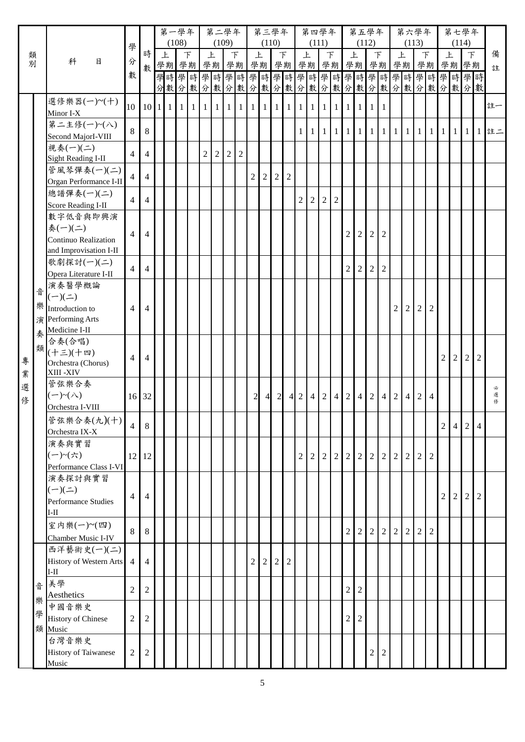|   |   |                                          |                  |                | 第一學年 | (108) |        |                | 第二學年           | (109)      |                |                | 第三學年<br>(110) |                |                |                        |                | 第四學年<br>(111)  |                               |                | 第五學年                   | (112)          |                |                |                | 第六學年<br>(113)  |                |            |                | 第七學年<br>(114)                    |                |              |
|---|---|------------------------------------------|------------------|----------------|------|-------|--------|----------------|----------------|------------|----------------|----------------|---------------|----------------|----------------|------------------------|----------------|----------------|-------------------------------|----------------|------------------------|----------------|----------------|----------------|----------------|----------------|----------------|------------|----------------|----------------------------------|----------------|--------------|
| 類 |   |                                          | 學                | 時              | 上    |       | $\top$ |                | 上              |            | F              |                | 上             |                | $\top$         |                        | 上              |                | $\top$                        |                | 上                      |                | $\top$         | 上              |                |                | F              |            | 上              | $\top$                           |                | 備            |
| 別 |   | 科<br>目                                   | 分                | 數              | 學期學期 |       |        |                | 學期學期           |            |                |                | 學期            |                |                | 學期學期                   |                |                | 學期學期                          |                |                        |                |                |                |                | 學期 學期 學期       |                |            |                | 學期學期                             |                | 註            |
|   |   |                                          | 數                |                |      |       |        |                |                |            |                |                |               |                |                |                        |                |                |                               |                |                        |                |                |                |                |                |                |            |                | 學時學時學時學時學時學時學時學時學時學時學時學時學時學時學時   |                |              |
|   |   |                                          |                  |                |      |       |        |                |                |            |                |                |               |                |                |                        |                |                |                               |                |                        |                |                |                |                |                |                |            |                | 分數分數分數分數分數分數分數分數分數分數分數分數分數分數分數分數 |                |              |
|   |   | 選修樂器(一)~(十)                              | 10               |                |      |       |        |                |                |            |                |                |               |                |                |                        |                |                | 1 1 1 1                       |                |                        |                |                |                |                |                |                |            |                |                                  |                | 註一           |
|   |   | Minor I-X                                |                  |                |      |       |        |                |                |            |                |                |               |                |                |                        |                |                |                               |                |                        | $\vert$ 1      | $\overline{1}$ |                |                |                |                |            |                |                                  |                |              |
|   |   | 第二主修(一)~(八)                              | 8                | 8              |      |       |        |                |                |            |                |                |               |                |                | $\mathbf{1}$           | 1 <sub>1</sub> |                | $1 \mid 1 \mid 1 \mid 1 \mid$ |                |                        |                |                |                |                | 1 1 1 1 1 1 1  |                |            |                |                                  |                | $1 1 1 1$ 註二 |
|   |   | Second MajorI-VIII                       |                  |                |      |       |        |                |                |            |                |                |               |                |                |                        |                |                |                               |                |                        |                |                |                |                |                |                |            |                |                                  |                |              |
|   |   | 視奏(一)(二)                                 | $\overline{4}$   | $\overline{4}$ |      |       |        | $\overline{2}$ | $\overline{2}$ | $\sqrt{2}$ | $\overline{2}$ |                |               |                |                |                        |                |                |                               |                |                        |                |                |                |                |                |                |            |                |                                  |                |              |
|   |   | <b>Sight Reading I-II</b><br>管風琴彈奏(一)(二) |                  |                |      |       |        |                |                |            |                |                |               |                |                |                        |                |                |                               |                |                        |                |                |                |                |                |                |            |                |                                  |                |              |
|   |   | Organ Performance I-II                   | $\overline{4}$   | $\overline{4}$ |      |       |        |                |                |            |                | 2              | 2             | 2              | 2              |                        |                |                |                               |                |                        |                |                |                |                |                |                |            |                |                                  |                |              |
|   |   | 總譜彈奏(一)(二)                               |                  |                |      |       |        |                |                |            |                |                |               |                |                |                        |                |                |                               |                |                        |                |                |                |                |                |                |            |                |                                  |                |              |
|   |   | <b>Score Reading I-II</b>                | $\overline{4}$   | $\overline{4}$ |      |       |        |                |                |            |                |                |               |                |                | $\overline{2}$         | $\overline{2}$ | $\overline{2}$ | $\overline{2}$                |                |                        |                |                |                |                |                |                |            |                |                                  |                |              |
|   |   | 數字低音與即興演                                 |                  |                |      |       |        |                |                |            |                |                |               |                |                |                        |                |                |                               |                |                        |                |                |                |                |                |                |            |                |                                  |                |              |
|   |   | 奏(一)(二)                                  | $\overline{4}$   | $\overline{4}$ |      |       |        |                |                |            |                |                |               |                |                |                        |                |                |                               | $\overline{2}$ | $\overline{2}$         | 2              | 2              |                |                |                |                |            |                |                                  |                |              |
|   |   | Continuo Realization                     |                  |                |      |       |        |                |                |            |                |                |               |                |                |                        |                |                |                               |                |                        |                |                |                |                |                |                |            |                |                                  |                |              |
|   |   | and Improvisation I-II                   |                  |                |      |       |        |                |                |            |                |                |               |                |                |                        |                |                |                               |                |                        |                |                |                |                |                |                |            |                |                                  |                |              |
|   |   | 歌劇探討(一)(二)                               | $\overline{4}$   | $\overline{4}$ |      |       |        |                |                |            |                |                |               |                |                |                        |                |                |                               | $\overline{2}$ | $\overline{2}$         | 2              | 2              |                |                |                |                |            |                |                                  |                |              |
|   |   | Opera Literature I-II<br>演奏醫學概論          |                  |                |      |       |        |                |                |            |                |                |               |                |                |                        |                |                |                               |                |                        |                |                |                |                |                |                |            |                |                                  |                |              |
|   | 音 | $(-)(\equiv)$                            |                  |                |      |       |        |                |                |            |                |                |               |                |                |                        |                |                |                               |                |                        |                |                |                |                |                |                |            |                |                                  |                |              |
|   |   | 樂 Introduction to                        | $\overline{4}$   | $\overline{4}$ |      |       |        |                |                |            |                |                |               |                |                |                        |                |                |                               |                |                        |                |                | $\overline{2}$ | 2              | $\overline{2}$ | $\overline{2}$ |            |                |                                  |                |              |
|   |   | 演 Performing Arts                        |                  |                |      |       |        |                |                |            |                |                |               |                |                |                        |                |                |                               |                |                        |                |                |                |                |                |                |            |                |                                  |                |              |
|   | 奏 | Medicine I-II                            |                  |                |      |       |        |                |                |            |                |                |               |                |                |                        |                |                |                               |                |                        |                |                |                |                |                |                |            |                |                                  |                |              |
|   | 類 | 合奏(合唱)                                   |                  |                |      |       |        |                |                |            |                |                |               |                |                |                        |                |                |                               |                |                        |                |                |                |                |                |                |            |                |                                  |                |              |
| 專 |   | (十三)(十四)                                 | $\overline{4}$   | $\overline{4}$ |      |       |        |                |                |            |                |                |               |                |                |                        |                |                |                               |                |                        |                |                |                |                |                |                | 2          | $\overline{2}$ | $\overline{2}$                   | $\overline{2}$ |              |
| 業 |   | Orchestra (Chorus)<br>XIII-XIV           |                  |                |      |       |        |                |                |            |                |                |               |                |                |                        |                |                |                               |                |                        |                |                |                |                |                |                |            |                |                                  |                |              |
| 選 |   | 管弦樂合奏                                    |                  |                |      |       |        |                |                |            |                |                |               |                |                |                        |                |                |                               |                |                        |                |                |                |                |                |                |            |                |                                  |                |              |
| 俢 |   | $(-)$ ~ $(\wedge)$                       |                  | $16 \mid 32$   |      |       |        |                |                |            |                | $\mathbf{2}$   | $\vert$       | $\overline{2}$ |                | $4 \mid 2 \mid 4 \mid$ |                | $\overline{2}$ |                               |                | $4 \mid 2 \mid 4 \mid$ | $\overline{2}$ | $4 \mid 2$     |                | $\overline{4}$ | $\overline{2}$ | $\overline{4}$ |            |                |                                  |                | 必<br>選       |
|   |   | Orchestra I-VIII                         |                  |                |      |       |        |                |                |            |                |                |               |                |                |                        |                |                |                               |                |                        |                |                |                |                |                |                |            |                |                                  |                | 修            |
|   |   | 管弦樂合奏(九)(十)                              | $\overline{4}$   | $\,8\,$        |      |       |        |                |                |            |                |                |               |                |                |                        |                |                |                               |                |                        |                |                |                |                |                |                | $\sqrt{2}$ | 4 <sup>1</sup> | 2                                | $\overline{4}$ |              |
|   |   | Orchestra IX-X                           |                  |                |      |       |        |                |                |            |                |                |               |                |                |                        |                |                |                               |                |                        |                |                |                |                |                |                |            |                |                                  |                |              |
|   |   | 演奏與實習                                    |                  |                |      |       |        |                |                |            |                |                |               |                |                |                        |                |                |                               |                |                        |                |                |                |                |                |                |            |                |                                  |                |              |
|   |   | (一)~(六)                                  | 12               | 12             |      |       |        |                |                |            |                |                |               |                |                | $\boldsymbol{2}$       | $\overline{2}$ | $\overline{2}$ | $\overline{2}$                | $\overline{2}$ | 2                      | $\overline{2}$ | $\overline{2}$ | 2              | 2              | $\overline{c}$ | $\overline{2}$ |            |                |                                  |                |              |
|   |   | Performance Class I-VI                   |                  |                |      |       |        |                |                |            |                |                |               |                |                |                        |                |                |                               |                |                        |                |                |                |                |                |                |            |                |                                  |                |              |
|   |   | 演奏探討與實習                                  |                  |                |      |       |        |                |                |            |                |                |               |                |                |                        |                |                |                               |                |                        |                |                |                |                |                |                |            |                |                                  |                |              |
|   |   | $(-)(\equiv)$<br>Performance Studies     | $\overline{4}$   | $\overline{4}$ |      |       |        |                |                |            |                |                |               |                |                |                        |                |                |                               |                |                        |                |                |                |                |                |                | 2          | 2              | $\overline{2}$                   | 2              |              |
|   |   | $II-I$                                   |                  |                |      |       |        |                |                |            |                |                |               |                |                |                        |                |                |                               |                |                        |                |                |                |                |                |                |            |                |                                  |                |              |
|   |   | 室内樂(一)~(四)                               |                  |                |      |       |        |                |                |            |                |                |               |                |                |                        |                |                |                               |                |                        |                |                |                |                |                |                |            |                |                                  |                |              |
|   |   | Chamber Music I-IV                       | 8                | 8              |      |       |        |                |                |            |                |                |               |                |                |                        |                |                |                               | $\overline{2}$ | $\overline{2}$         | $\overline{2}$ | 2 2            |                | 2              | $\overline{2}$ | $\overline{2}$ |            |                |                                  |                |              |
|   |   | 西洋藝術史(一)(二)                              |                  |                |      |       |        |                |                |            |                |                |               |                |                |                        |                |                |                               |                |                        |                |                |                |                |                |                |            |                |                                  |                |              |
|   |   | History of Western Arts                  | $\overline{4}$   | $\overline{4}$ |      |       |        |                |                |            |                | $\overline{c}$ | 2             | 2              | $\overline{2}$ |                        |                |                |                               |                |                        |                |                |                |                |                |                |            |                |                                  |                |              |
|   |   | $I-II$                                   |                  |                |      |       |        |                |                |            |                |                |               |                |                |                        |                |                |                               |                |                        |                |                |                |                |                |                |            |                |                                  |                |              |
|   | 音 | 美學                                       | $\overline{2}$   | 2              |      |       |        |                |                |            |                |                |               |                |                |                        |                |                |                               | 2 <sup>1</sup> | 2                      |                |                |                |                |                |                |            |                |                                  |                |              |
|   | 樂 | Aesthetics                               |                  |                |      |       |        |                |                |            |                |                |               |                |                |                        |                |                |                               |                |                        |                |                |                |                |                |                |            |                |                                  |                |              |
|   | 學 | 中國音樂史                                    |                  |                |      |       |        |                |                |            |                |                |               |                |                |                        |                |                |                               |                |                        |                |                |                |                |                |                |            |                |                                  |                |              |
|   |   | <b>History of Chinese</b><br>類 Music     | $\overline{2}$   | 2              |      |       |        |                |                |            |                |                |               |                |                |                        |                |                |                               | $\mathfrak{2}$ | 2                      |                |                |                |                |                |                |            |                |                                  |                |              |
|   |   | 台灣音樂史                                    |                  |                |      |       |        |                |                |            |                |                |               |                |                |                        |                |                |                               |                |                        |                |                |                |                |                |                |            |                |                                  |                |              |
|   |   | <b>History of Taiwanese</b>              | $\boldsymbol{2}$ | 2              |      |       |        |                |                |            |                |                |               |                |                |                        |                |                |                               |                |                        | 2              | 2              |                |                |                |                |            |                |                                  |                |              |
|   |   | Music                                    |                  |                |      |       |        |                |                |            |                |                |               |                |                |                        |                |                |                               |                |                        |                |                |                |                |                |                |            |                |                                  |                |              |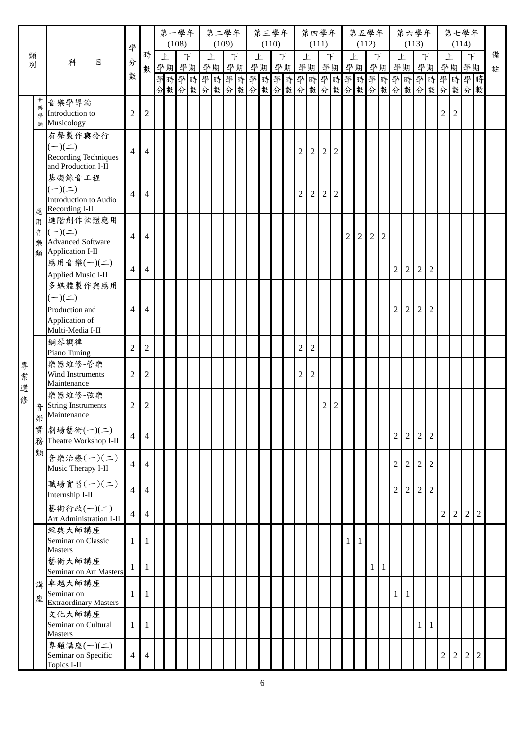|        |                  |                                                                                   | 學                       |                | 第一學年 | (108) |             | 第二學年<br>(109) |         |   | 第三學年<br>(110) |   |                |                | 第四學年<br>(111)  |                |                | (112)        | 第五學年           |                |                | (113)          | 第六學年                                                           |                  |            | (114)          | 第七學年           |                |        |
|--------|------------------|-----------------------------------------------------------------------------------|-------------------------|----------------|------|-------|-------------|---------------|---------|---|---------------|---|----------------|----------------|----------------|----------------|----------------|--------------|----------------|----------------|----------------|----------------|----------------------------------------------------------------|------------------|------------|----------------|----------------|----------------|--------|
| 類<br>別 |                  | 科<br>目                                                                            | 分                       | 時<br>數         | 上    |       | F<br>學期學期學期 | 上             | F<br>學期 | 上 | 學期學期          | F | 上              |                | F<br>學期學期學期    |                | 上              |              | 下              | 學期             | 上              |                | 下<br>學期學期                                                      |                  | 上          |                | $\top$<br>學期學期 |                | 備<br>註 |
|        |                  |                                                                                   | 數                       |                |      |       |             |               |         |   |               |   |                |                |                |                |                |              |                |                |                |                | 學時學時學時學時學時學時學時學時學時學時學時學時學時學時<br>分數分數分數分數分數分數分數分數分數分數分數分數分數分數分數 |                  |            |                |                |                |        |
|        | 音<br>樂<br>學<br>類 | 音樂學導論<br>Introduction to<br>Musicology                                            | 2                       | $\overline{c}$ |      |       |             |               |         |   |               |   |                |                |                |                |                |              |                |                |                |                |                                                                |                  | 2          | $\mathfrak{2}$ |                |                |        |
|        |                  | 有聲製作與發行<br>$(-)(\equiv)$<br><b>Recording Techniques</b><br>and Production I-II    | $\overline{4}$          | 4              |      |       |             |               |         |   |               |   | 2              | $\overline{2}$ | $\overline{2}$ | $\overline{2}$ |                |              |                |                |                |                |                                                                |                  |            |                |                |                |        |
|        | 應                | 基礎錄音工程<br>$(-)(\equiv)$<br>Introduction to Audio<br>Recording I-II                | $\overline{4}$          | $\overline{4}$ |      |       |             |               |         |   |               |   | 2              | $\mathfrak 2$  | $\overline{2}$ | $\overline{2}$ |                |              |                |                |                |                |                                                                |                  |            |                |                |                |        |
|        | 用<br>音<br>樂<br>類 | 進階創作軟體應用<br>$(-)(\equiv)$<br><b>Advanced Software</b><br>Application I-II         | $\overline{4}$          | $\overline{4}$ |      |       |             |               |         |   |               |   |                |                |                |                | $\overline{2}$ | $\sqrt{2}$   | $\sqrt{2}$     | $\overline{2}$ |                |                |                                                                |                  |            |                |                |                |        |
|        |                  | 應用音樂(一)(二)<br>Applied Music I-II                                                  | $\overline{4}$          | 4              |      |       |             |               |         |   |               |   |                |                |                |                |                |              |                |                | $\overline{2}$ | 2              | $\overline{c}$                                                 | $\overline{2}$   |            |                |                |                |        |
|        |                  | 多媒體製作與應用<br>$(-)(\equiv)$<br>Production and<br>Application of<br>Multi-Media I-II | $\overline{4}$          | 4              |      |       |             |               |         |   |               |   |                |                |                |                |                |              |                |                | $\overline{2}$ | $\overline{2}$ | $\overline{2}$                                                 | $\sqrt{2}$       |            |                |                |                |        |
|        |                  | 鋼琴調律<br>Piano Tuning                                                              | $\mathfrak{2}$          | $\overline{c}$ |      |       |             |               |         |   |               |   | $\overline{c}$ | $\mathfrak 2$  |                |                |                |              |                |                |                |                |                                                                |                  |            |                |                |                |        |
| 專<br>業 |                  | 樂器維修-管樂<br>Wind Instruments<br>Maintenance                                        | $\overline{2}$          | $\overline{2}$ |      |       |             |               |         |   |               |   | 2              | $\mathfrak 2$  |                |                |                |              |                |                |                |                |                                                                |                  |            |                |                |                |        |
| 選<br>俢 | 音<br>缬           | 樂器維修-弦樂<br><b>String Instruments</b><br>Maintenance                               | 2                       | $\overline{c}$ |      |       |             |               |         |   |               |   |                |                | $\overline{c}$ | $\overline{2}$ |                |              |                |                |                |                |                                                                |                  |            |                |                |                |        |
|        | সম<br>實          | 劇場藝術(一)(二)<br>務 Theatre Workshop I-II                                             | $\overline{4}$          | 4              |      |       |             |               |         |   |               |   |                |                |                |                |                |              |                |                | $\overline{2}$ | 2              | $\overline{c}$                                                 | $\boldsymbol{2}$ |            |                |                |                |        |
|        | 類                | 音樂治療(一)(二)<br>Music Therapy I-II                                                  | $\overline{4}$          | 4              |      |       |             |               |         |   |               |   |                |                |                |                |                |              |                |                | $\overline{c}$ | 2              | $\overline{c}$                                                 | $\overline{2}$   |            |                |                |                |        |
|        |                  | 職場實習(一)(二)<br>Internship I-II                                                     | $\overline{4}$          | 4              |      |       |             |               |         |   |               |   |                |                |                |                |                |              |                |                | $\overline{2}$ | $\overline{2}$ | $\overline{c}$                                                 | $\sqrt{2}$       |            |                |                |                |        |
|        |                  | 藝術行政(一)(二)<br>Art Administration I-II                                             | 4                       | 4              |      |       |             |               |         |   |               |   |                |                |                |                |                |              |                |                |                |                |                                                                |                  | $\sqrt{2}$ | $\overline{2}$ | $\sqrt{2}$     | $\overline{2}$ |        |
|        |                  | 經典大師講座<br>Seminar on Classic<br><b>Masters</b>                                    | $\mathbf{1}$            | 1              |      |       |             |               |         |   |               |   |                |                |                |                | $\mathbf{1}$   | $\mathbf{1}$ |                |                |                |                |                                                                |                  |            |                |                |                |        |
|        |                  | 藝術大師講座<br>Seminar on Art Masters                                                  | 1                       | 1              |      |       |             |               |         |   |               |   |                |                |                |                |                |              | 1 <sup>1</sup> | $\mathbf{1}$   |                |                |                                                                |                  |            |                |                |                |        |
|        | 講<br>座           | 卓越大師講座<br>Seminar on<br><b>Extraordinary Masters</b>                              | $\mathbf{1}$            | 1              |      |       |             |               |         |   |               |   |                |                |                |                |                |              |                |                | $\mathbf{1}$   | -1             |                                                                |                  |            |                |                |                |        |
|        |                  | 文化大師講座<br>Seminar on Cultural<br><b>Masters</b>                                   | 1                       | 1              |      |       |             |               |         |   |               |   |                |                |                |                |                |              |                |                |                |                | 1                                                              | $\mathbf{1}$     |            |                |                |                |        |
|        |                  | 專題講座(一)(二)<br>Seminar on Specific<br>Topics I-II                                  | $\overline{\mathbf{4}}$ | 4              |      |       |             |               |         |   |               |   |                |                |                |                |                |              |                |                |                |                |                                                                |                  | 2          | $\overline{2}$ | 2              | 2              |        |